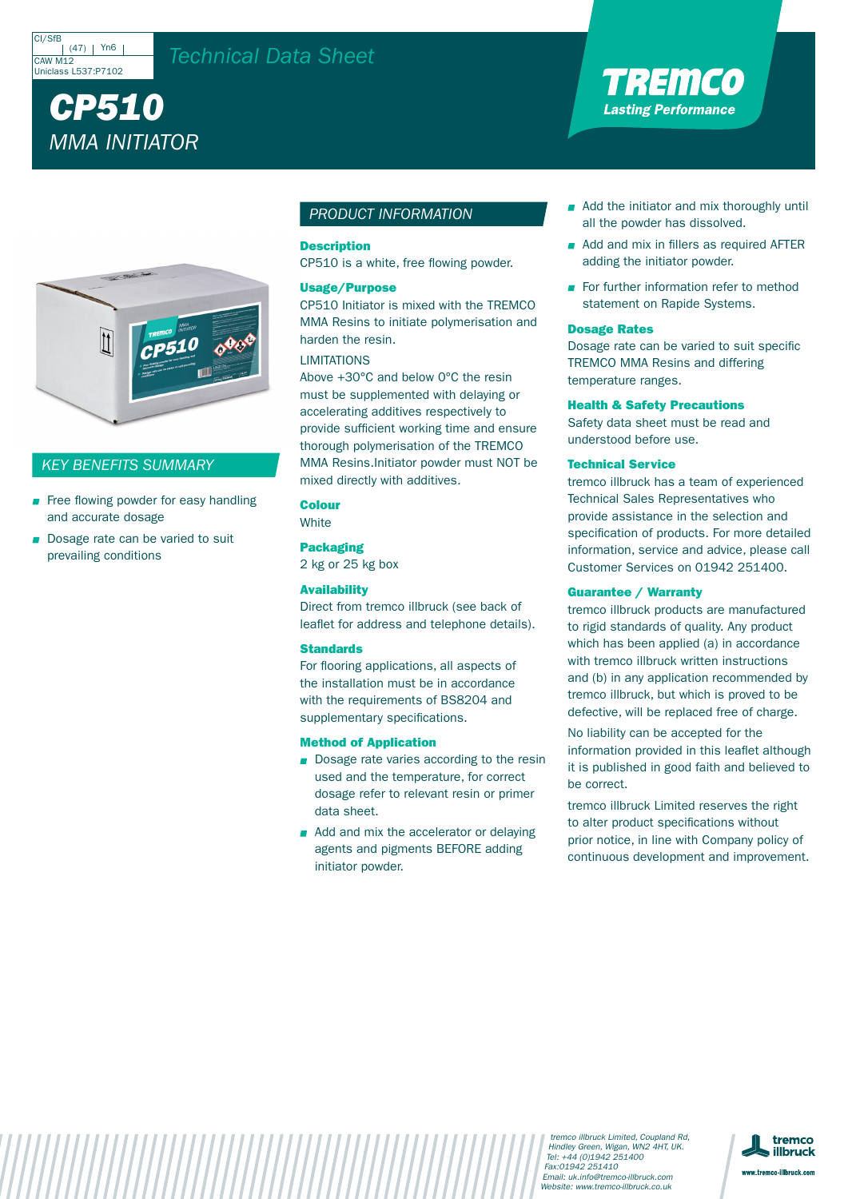





## *PRODUCT INFORMATION*

# Description

Usage/Purpose

## *KEY BENEFITS SUMMARY*

| Colour              |
|---------------------|
| <b>Packaging</b>    |
| <b>Availability</b> |

Standards

## Method of Application

Dosage Rates

Health & Safety Precautions

Technical Service

Guarantee / Warranty

X